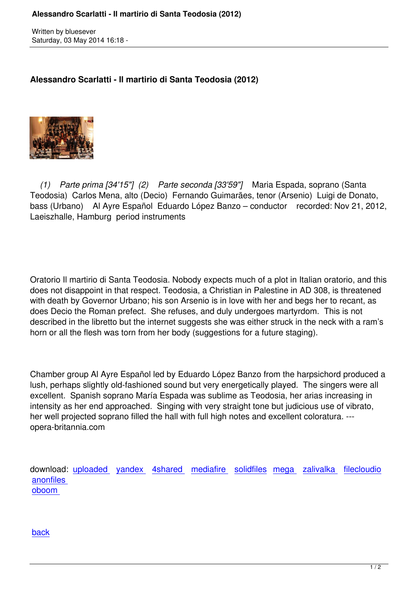Written by blueseverseversels and the blueseversels of the blueseversels and the blueseversels are the bluesev

**Alessandro Scarlatti - Il martirio di Santa Teodosia (2012)**



 *(1) Parte prima [34'15"] (2) Parte seconda [33'59"]* Maria Espada, soprano (Santa Teodosia) Carlos Mena, alto (Decio) Fernando Guimarães, tenor (Arsenio) Luigi de Donato, bass (Urbano) Al Ayre Español Eduardo López Banzo – conductor recorded: Nov 21, 2012, Laeiszhalle, Hamburg period instruments

Oratorio Il martirio di Santa Teodosia. Nobody expects much of a plot in Italian oratorio, and this does not disappoint in that respect. Teodosia, a Christian in Palestine in AD 308, is threatened with death by Governor Urbano; his son Arsenio is in love with her and begs her to recant, as does Decio the Roman prefect. She refuses, and duly undergoes martyrdom. This is not described in the libretto but the internet suggests she was either struck in the neck with a ram's horn or all the flesh was torn from her body (suggestions for a future staging).

Chamber group Al Ayre Español led by Eduardo López Banzo from the harpsichord produced a lush, perhaps slightly old-fashioned sound but very energetically played. The singers were all excellent. Spanish soprano María Espada was sublime as Teodosia, her arias increasing in intensity as her end approached. Singing with very straight tone but judicious use of vibrato, her well projected soprano filled the hall with full high notes and excellent coloratura. -- opera-britannia.com

download: uploaded yandex 4shared mediafire solidfiles mega zalivalka filecloudio anonfiles oboom

[back](https://www.oboom.com/YCQ0IMFP/AsdSrt-IMdST12.zip)